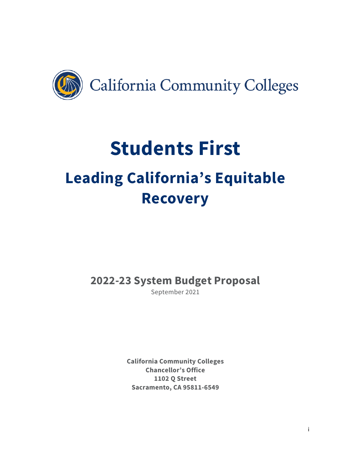

# **Students First Leading California's Equitable Recovery**

**2022-23 System Budget Proposal**

September 2021

**California Community Colleges Chancellor's Office 1102 Q Street Sacramento, CA 95811-6549**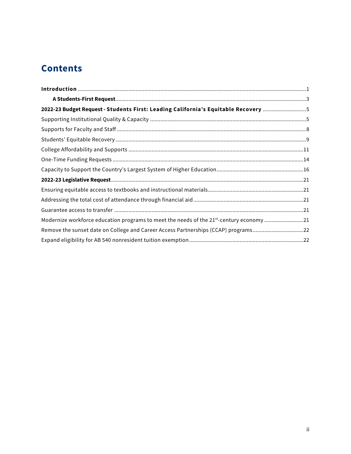# **Contents**

| 2022-23 Budget Request - Students First: Leading California's Equitable Recovery 5      |  |
|-----------------------------------------------------------------------------------------|--|
|                                                                                         |  |
|                                                                                         |  |
|                                                                                         |  |
|                                                                                         |  |
|                                                                                         |  |
|                                                                                         |  |
|                                                                                         |  |
|                                                                                         |  |
|                                                                                         |  |
|                                                                                         |  |
| Modernize workforce education programs to meet the needs of the 21st-century economy 21 |  |
| Remove the sunset date on College and Career Access Partnerships (CCAP) programs22      |  |
|                                                                                         |  |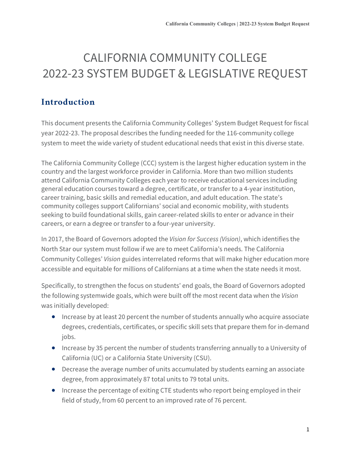# CALIFORNIA COMMUNITY COLLEGE 2022-23 SYSTEM BUDGET & LEGISLATIVE REQUEST

# <span id="page-2-0"></span>**Introduction**

This document presents the California Community Colleges' System Budget Request for fiscal year 2022-23. The proposal describes the funding needed for the 116-community college system to meet the wide variety of student educational needs that exist in this diverse state.

The California Community College (CCC) system is the largest higher education system in the country and the largest workforce provider in California. More than two million students attend California Community Colleges each year to receive educational services including general education courses toward a degree, certificate, or transfer to a 4-year institution, career training, basic skills and remedial education, and adult education. The state's community colleges support Californians' social and economic mobility, with students seeking to build foundational skills, gain career-related skills to enter or advance in their careers, or earn a degree or transfer to a four-year university.

In 2017, the Board of Governors adopted the *Vision for Success (Vision)*, which identifies the North Star our system must follow if we are to meet California's needs. The California Community Colleges' *Vision* guides interrelated reforms that will make higher education more accessible and equitable for millions of Californians at a time when the state needs it most.

Specifically, to strengthen the focus on students' end goals, the Board of Governors adopted the following systemwide goals, which were built off the most recent data when the *Vision* was initially developed:

- Increase by at least 20 percent the number of students annually who acquire associate degrees, credentials, certificates, or specific skill sets that prepare them for in-demand jobs.
- Increase by 35 percent the number of students transferring annually to a University of California (UC) or a California State University (CSU).
- Decrease the average number of units accumulated by students earning an associate degree, from approximately 87 total units to 79 total units.
- Increase the percentage of exiting CTE students who report being employed in their field of study, from 60 percent to an improved rate of 76 percent.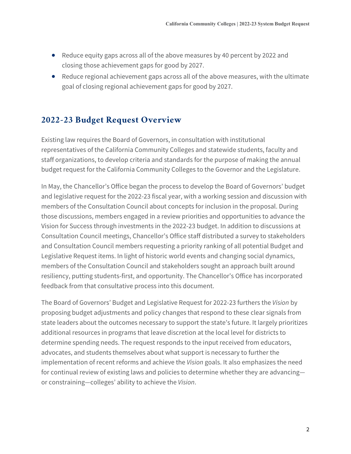- Reduce equity gaps across all of the above measures by 40 percent by 2022 and closing those achievement gaps for good by 2027.
- Reduce regional achievement gaps across all of the above measures, with the ultimate goal of closing regional achievement gaps for good by 2027.

#### **2022-23 Budget Request Overview**

Existing law requires the Board of Governors, in consultation with institutional representatives of the California Community Colleges and statewide students, faculty and staff organizations, to develop criteria and standards for the purpose of making the annual budget request for the California Community Colleges to the Governor and the Legislature.

In May, the Chancellor's Office began the process to develop the Board of Governors' budget and legislative request for the 2022-23 fiscal year, with a working session and discussion with members of the Consultation Council about concepts for inclusion in the proposal. During those discussions, members engaged in a review priorities and opportunities to advance the Vision for Success through investments in the 2022-23 budget. In addition to discussions at Consultation Council meetings, Chancellor's Office staff distributed a survey to stakeholders and Consultation Council members requesting a priority ranking of all potential Budget and Legislative Request items. In light of historic world events and changing social dynamics, members of the Consultation Council and stakeholders sought an approach built around resiliency, putting students-first, and opportunity. The Chancellor's Office has incorporated feedback from that consultative process into this document.

The Board of Governors' Budget and Legislative Request for 2022-23 furthers the *Vision* by proposing budget adjustments and policy changes that respond to these clear signals from state leaders about the outcomes necessary to support the state's future. It largely prioritizes additional resources in programs that leave discretion at the local level for districts to determine spending needs. The request responds to the input received from educators, advocates, and students themselves about what support is necessary to further the implementation of recent reforms and achieve the *Vision* goals. It also emphasizes the need for continual review of existing laws and policies to determine whether they are advancing or constraining—colleges' ability to achieve the *Vision*.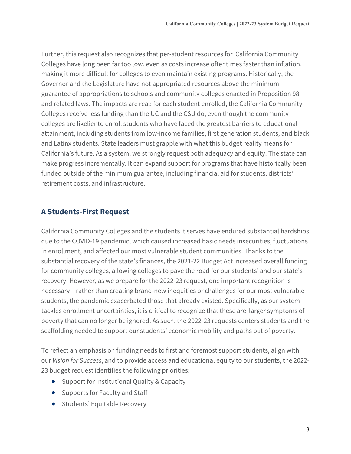Further, this request also recognizes that per-student resources for California Community Colleges have long been far too low, even as costs increase oftentimes faster than inflation, making it more difficult for colleges to even maintain existing programs. Historically, the Governor and the Legislature have not appropriated resources above the minimum guarantee of appropriations to schools and community colleges enacted in Proposition 98 and related laws. The impacts are real: for each student enrolled, the California Community Colleges receive less funding than the UC and the CSU do, even though the community colleges are likelier to enroll students who have faced the greatest barriers to educational attainment, including students from low-income families, first generation students, and black and Latinx students. State leaders must grapple with what this budget reality means for California's future. As a system, we strongly request both adequacy and equity. The state can make progress incrementally. It can expand support for programs that have historically been funded outside of the minimum guarantee, including financial aid for students, districts' retirement costs, and infrastructure.

#### <span id="page-4-0"></span>**A Students-First Request**

California Community Colleges and the students it serves have endured substantial hardships due to the COVID-19 pandemic, which caused increased basic needs insecurities, fluctuations in enrollment, and affected our most vulnerable student communities. Thanks to the substantial recovery of the state's finances, the 2021-22 Budget Act increased overall funding for community colleges, allowing colleges to pave the road for our students' and our state's recovery. However, as we prepare for the 2022-23 request, one important recognition is necessary – rather than creating brand-new inequities or challenges for our most vulnerable students, the pandemic exacerbated those that already existed. Specifically, as our system tackles enrollment uncertainties, it is critical to recognize that these are larger symptoms of poverty that can no longer be ignored. As such, the 2022-23 requests centers students and the scaffolding needed to support our students' economic mobility and paths out of poverty.

To reflect an emphasis on funding needs to first and foremost support students, align with our *Vision for Success*, and to provide access and educational equity to our students, the 2022- 23 budget request identifies the following priorities:

- Support for Institutional Quality & Capacity
- Supports for Faculty and Staff
- Students' Equitable Recovery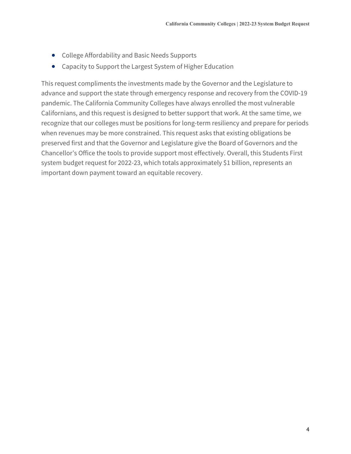- College Affordability and Basic Needs Supports
- Capacity to Support the Largest System of Higher Education

This request compliments the investments made by the Governor and the Legislature to advance and support the state through emergency response and recovery from the COVID-19 pandemic. The California Community Colleges have always enrolled the most vulnerable Californians, and this request is designed to better support that work. At the same time, we recognize that our colleges must be positions for long-term resiliency and prepare for periods when revenues may be more constrained. This request asks that existing obligations be preserved first and that the Governor and Legislature give the Board of Governors and the Chancellor's Office the tools to provide support most effectively. Overall, this Students First system budget request for 2022-23, which totals approximately \$1 billion, represents an important down payment toward an equitable recovery.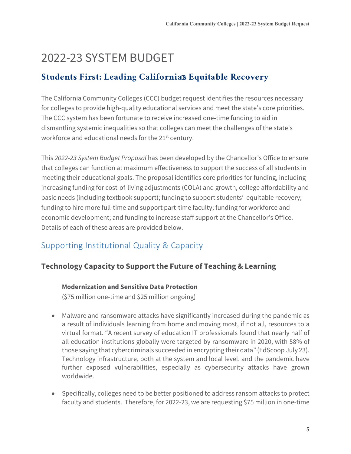# 2022-23 SYSTEM BUDGET

### <span id="page-6-0"></span>**Students First: Leading California s Equitable Recovery**

The California Community Colleges (CCC) budget request identifies the resources necessary for colleges to provide high-quality educational services and meet the state's core priorities. The CCC system has been fortunate to receive increased one-time funding to aid in dismantling systemic inequalities so that colleges can meet the challenges of the state's workforce and educational needs for the 21<sup>st</sup> century.

This *2022-23 System Budget Proposal* has been developed by the Chancellor's Office to ensure that colleges can function at maximum effectiveness to support the success of all students in meeting their educational goals. The proposal identifies core priorities for funding, including increasing funding for cost-of-living adjustments (COLA) and growth, college affordability and basic needs (including textbook support); funding to support students' equitable recovery; funding to hire more full-time and support part-time faculty; funding for workforce and economic development; and funding to increase staff support at the Chancellor's Office. Details of each of these areas are provided below.

# <span id="page-6-1"></span>Supporting Institutional Quality & Capacity

#### **Technology Capacity to Support the Future of Teaching & Learning**

#### **Modernization and Sensitive Data Protection**

(\$75 million one-time and \$25 million ongoing)

- Malware and ransomware attacks have significantly increased during the pandemic as a result of individuals learning from home and moving most, if not all, resources to a virtual format. "A recent survey of education IT professionals found that nearly half of all education institutions globally were targeted by ransomware in 2020, with 58% of those saying that cybercriminals succeeded in encrypting their data" (EdScoop July 23). Technology infrastructure, both at the system and local level, and the pandemic have further exposed vulnerabilities, especially as cybersecurity attacks have grown worldwide.
- Specifically, colleges need to be better positioned to address ransom attacks to protect faculty and students. Therefore, for 2022-23, we are requesting \$75 million in one-time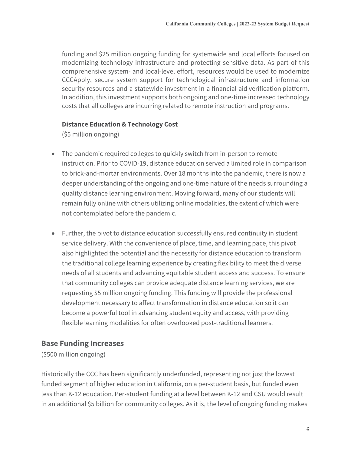funding and \$25 million ongoing funding for systemwide and local efforts focused on modernizing technology infrastructure and protecting sensitive data. As part of this comprehensive system- and local-level effort, resources would be used to modernize CCCApply, secure system support for technological infrastructure and information security resources and a statewide investment in a financial aid verification platform. In addition, this investment supports both ongoing and one-time increased technology costs that all colleges are incurring related to remote instruction and programs.

#### **Distance Education & Technology Cost**

(\$5 million ongoing)

- The pandemic required colleges to quickly switch from in-person to remote instruction. Prior to COVID-19, distance education served a limited role in comparison to brick-and-mortar environments. Over 18 months into the pandemic, there is now a deeper understanding of the ongoing and one-time nature of the needs surrounding a quality distance learning environment. Moving forward, many of our students will remain fully online with others utilizing online modalities, the extent of which were not contemplated before the pandemic.
- Further, the pivot to distance education successfully ensured continuity in student service delivery. With the convenience of place, time, and learning pace, this pivot also highlighted the potential and the necessity for distance education to transform the traditional college learning experience by creating flexibility to meet the diverse needs of all students and advancing equitable student access and success. To ensure that community colleges can provide adequate distance learning services, we are requesting \$5 million ongoing funding. This funding will provide the professional development necessary to affect transformation in distance education so it can become a powerful tool in advancing student equity and access, with providing flexible learning modalities for often overlooked post-traditional learners.

#### **Base Funding Increases**

(\$500 million ongoing)

Historically the CCC has been significantly underfunded, representing not just the lowest funded segment of higher education in California, on a per-student basis, but funded even less than K-12 education. Per-student funding at a level between K-12 and CSU would result in an additional \$5 billion for community colleges. As it is, the level of ongoing funding makes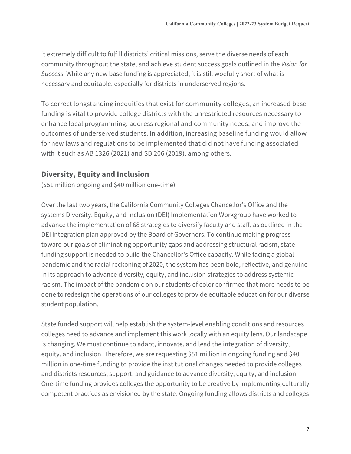it extremely difficult to fulfill districts' critical missions, serve the diverse needs of each community throughout the state, and achieve student success goals outlined in the *Vision for Success*. While any new base funding is appreciated, it is still woefully short of what is necessary and equitable, especially for districts in underserved regions.

To correct longstanding inequities that exist for community colleges, an increased base funding is vital to provide college districts with the unrestricted resources necessary to enhance local programming, address regional and community needs, and improve the outcomes of underserved students. In addition, increasing baseline funding would allow for new laws and regulations to be implemented that did not have funding associated with it such as AB 1326 (2021) and SB 206 (2019), among others.

#### **Diversity, Equity and Inclusion**

(\$51 million ongoing and \$40 million one-time)

Over the last two years, the California Community Colleges Chancellor's Office and the systems Diversity, Equity, and Inclusion (DEI) Implementation Workgroup have worked to advance the implementation of 68 strategies to diversify faculty and staff, as outlined in the DEI Integration plan approved by the Board of Governors. To continue making progress toward our goals of eliminating opportunity gaps and addressing structural racism, state funding support is needed to build the Chancellor's Office capacity. While facing a global pandemic and the racial reckoning of 2020, the system has been bold, reflective, and genuine in its approach to advance diversity, equity, and inclusion strategies to address systemic racism. The impact of the pandemic on our students of color confirmed that more needs to be done to redesign the operations of our colleges to provide equitable education for our diverse student population.

State funded support will help establish the system-level enabling conditions and resources colleges need to advance and implement this work locally with an equity lens. Our landscape is changing. We must continue to adapt, innovate, and lead the integration of diversity, equity, and inclusion. Therefore, we are requesting \$51 million in ongoing funding and \$40 million in one-time funding to provide the institutional changes needed to provide colleges and districts resources, support, and guidance to advance diversity, equity, and inclusion. One-time funding provides colleges the opportunity to be creative by implementing culturally competent practices as envisioned by the state. Ongoing funding allows districts and colleges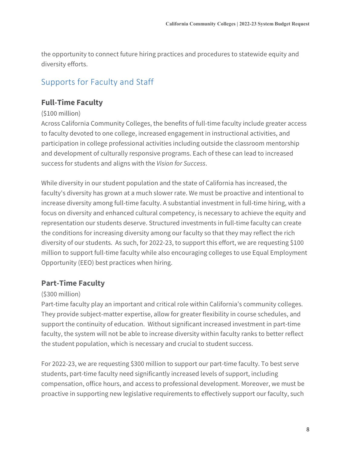the opportunity to connect future hiring practices and procedures to statewide equity and diversity efforts.

# <span id="page-9-0"></span>Supports for Faculty and Staff

#### **Full-Time Faculty**

#### (\$100 million)

Across California Community Colleges, the benefits of full-time faculty include greater access to faculty devoted to one college, increased engagement in instructional activities, and participation in college professional activities including outside the classroom mentorship and development of culturally responsive programs. Each of these can lead to increased success for students and aligns with the *Vision for Success*.

While diversity in our student population and the state of California has increased, the faculty's diversity has grown at a much slower rate. We must be proactive and intentional to increase diversity among full-time faculty. A substantial investment in full-time hiring, with a focus on diversity and enhanced cultural competency, is necessary to achieve the equity and representation our students deserve. Structured investments in full-time faculty can create the conditions for increasing diversity among our faculty so that they may reflect the rich diversity of our students. As such, for 2022-23, to support this effort, we are requesting \$100 million to support full-time faculty while also encouraging colleges to use Equal Employment Opportunity (EEO) best practices when hiring.

#### **Part-Time Faculty**

#### (\$300 million)

Part-time faculty play an important and critical role within California's community colleges. They provide subject-matter expertise, allow for greater flexibility in course schedules, and support the continuity of education. Without significant increased investment in part-time faculty, the system will not be able to increase diversity within faculty ranks to better reflect the student population, which is necessary and crucial to student success.

For 2022-23, we are requesting \$300 million to support our part-time faculty. To best serve students, part-time faculty need significantly increased levels of support, including compensation, office hours, and access to professional development. Moreover, we must be proactive in supporting new legislative requirements to effectively support our faculty, such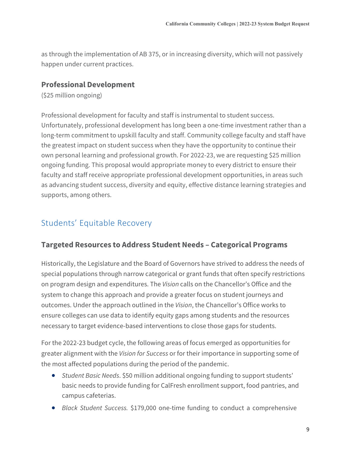as through the implementation of AB 375, or in increasing diversity, which will not passively happen under current practices.

#### **Professional Development**

(\$25 million ongoing)

Professional development for faculty and staff is instrumental to student success. Unfortunately, professional development has long been a one-time investment rather than a long-term commitment to upskill faculty and staff. Community college faculty and staff have the greatest impact on student success when they have the opportunity to continue their own personal learning and professional growth. For 2022-23, we are requesting \$25 million ongoing funding. This proposal would appropriate money to every district to ensure their faculty and staff receive appropriate professional development opportunities, in areas such as advancing student success, diversity and equity, effective distance learning strategies and supports, among others.

# <span id="page-10-0"></span>Students' Equitable Recovery

#### **Targeted Resources to Address Student Needs – Categorical Programs**

Historically, the Legislature and the Board of Governors have strived to address the needs of special populations through narrow categorical or grant funds that often specify restrictions on program design and expenditures. The *Vision* calls on the Chancellor's Office and the system to change this approach and provide a greater focus on student journeys and outcomes. Under the approach outlined in the *Vision*, the Chancellor's Office works to ensure colleges can use data to identify equity gaps among students and the resources necessary to target evidence-based interventions to close those gaps for students.

For the 2022-23 budget cycle, the following areas of focus emerged as opportunities for greater alignment with the *Vision for Success* or for their importance in supporting some of the most affected populations during the period of the pandemic.

- *Student Basic Needs*. \$50 million additional ongoing funding to support students' basic needs to provide funding for CalFresh enrollment support, food pantries, and campus cafeterias.
- *Black Student Success.* \$179,000 one-time funding to conduct a comprehensive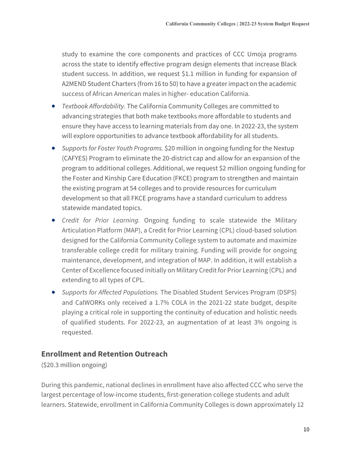study to examine the core components and practices of CCC Umoja programs across the state to identify effective program design elements that increase Black student success. In addition, we request \$1.1 million in funding for expansion of A2MEND Student Charters (from 16 to 50) to have a greater impact on the academic success of African American males in higher- education California.

- *Textbook Affordability.* The California Community Colleges are committed to advancing strategies that both make textbooks more affordable to students and ensure they have access to learning materials from day one. In 2022-23, the system will explore opportunities to advance textbook affordability for all students.
- *Supports for Foster Youth Programs.* \$20 million in ongoing funding for the Nextup (CAFYES) Program to eliminate the 20-district cap and allow for an expansion of the program to additional colleges. Additional, we request \$2 million ongoing funding for the Foster and Kinship Care Education (FKCE) program to strengthen and maintain the existing program at 54 colleges and to provide resources for curriculum development so that all FKCE programs have a standard curriculum to address statewide mandated topics.
- *Credit for Prior Learning.* Ongoing funding to scale statewide the Military Articulation Platform (MAP), a Credit for Prior Learning (CPL) cloud-based solution designed for the California Community College system to automate and maximize transferable college credit for military training. Funding will provide for ongoing maintenance, development, and integration of MAP. In addition, it will establish a Center of Excellence focused initially on Military Credit for Prior Learning (CPL) and extending to all types of CPL.
- *Supports for Affected Populations.* The Disabled Student Services Program (DSPS) and CalWORKs only received a 1.7% COLA in the 2021-22 state budget, despite playing a critical role in supporting the continuity of education and holistic needs of qualified students. For 2022-23, an augmentation of at least 3% ongoing is requested.

#### **Enrollment and Retention Outreach**

(\$20.3 million ongoing)

During this pandemic, national declines in enrollment have also affected CCC who serve the largest percentage of low-income students, first-generation college students and adult learners. Statewide, enrollment in California Community Colleges is down approximately 12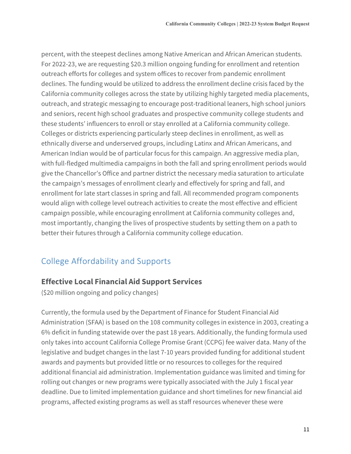percent, with the steepest declines among Native American and African American students. For 2022-23, we are requesting \$20.3 million ongoing funding for enrollment and retention outreach efforts for colleges and system offices to recover from pandemic enrollment declines. The funding would be utilized to address the enrollment decline crisis faced by the California community colleges across the state by utilizing highly targeted media placements, outreach, and strategic messaging to encourage post-traditional leaners, high school juniors and seniors, recent high school graduates and prospective community college students and these students' influencers to enroll or stay enrolled at a California community college. Colleges or districts experiencing particularly steep declines in enrollment, as well as ethnically diverse and underserved groups, including Latinx and African Americans, and American Indian would be of particular focus for this campaign. An aggressive media plan, with full-fledged multimedia campaigns in both the fall and spring enrollment periods would give the Chancellor's Office and partner district the necessary media saturation to articulate the campaign's messages of enrollment clearly and effectively for spring and fall, and enrollment for late start classes in spring and fall. All recommended program components would align with college level outreach activities to create the most effective and efficient campaign possible, while encouraging enrollment at California community colleges and, most importantly, changing the lives of prospective students by setting them on a path to better their futures through a California community college education.

# <span id="page-12-0"></span>College Affordability and Supports

#### **Effective Local Financial Aid Support Services**

(\$20 million ongoing and policy changes)

Currently, the formula used by the Department of Finance for Student Financial Aid Administration (SFAA) is based on the 108 community colleges in existence in 2003, creating a 6% deficit in funding statewide over the past 18 years. Additionally, the funding formula used only takes into account California College Promise Grant (CCPG) fee waiver data. Many of the legislative and budget changes in the last 7-10 years provided funding for additional student awards and payments but provided little or no resources to colleges for the required additional financial aid administration. Implementation guidance was limited and timing for rolling out changes or new programs were typically associated with the July 1 fiscal year deadline. Due to limited implementation guidance and short timelines for new financial aid programs, affected existing programs as well as staff resources whenever these were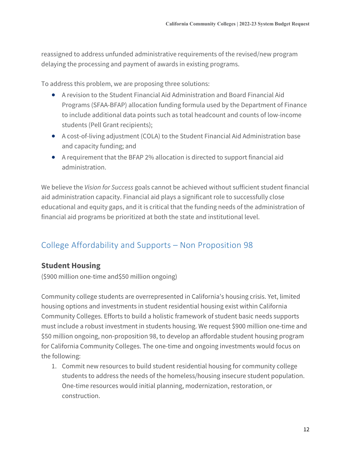reassigned to address unfunded administrative requirements of the revised/new program delaying the processing and payment of awards in existing programs.

To address this problem, we are proposing three solutions:

- A revision to the Student Financial Aid Administration and Board Financial Aid Programs (SFAA-BFAP) allocation funding formula used by the Department of Finance to include additional data points such as total headcount and counts of low-income students (Pell Grant recipients);
- A cost-of-living adjustment (COLA) to the Student Financial Aid Administration base and capacity funding; and
- A requirement that the BFAP 2% allocation is directed to support financial aid administration.

We believe the *Vision for Success* goals cannot be achieved without sufficient student financial aid administration capacity. Financial aid plays a significant role to successfully close educational and equity gaps, and it is critical that the funding needs of the administration of financial aid programs be prioritized at both the state and institutional level.

# College Affordability and Supports – Non Proposition 98

#### **Student Housing**

(\$900 million one-time and\$50 million ongoing)

Community college students are overrepresented in California's housing crisis. Yet, limited housing options and investments in student residential housing exist within California Community Colleges. Efforts to build a holistic framework of student basic needs supports must include a robust investment in students housing. We request \$900 million one-time and \$50 million ongoing, non-proposition 98, to develop an affordable student housing program for California Community Colleges. The one-time and ongoing investments would focus on the following:

1. Commit new resources to build student residential housing for community college students to address the needs of the homeless/housing insecure student population. One-time resources would initial planning, modernization, restoration, or construction.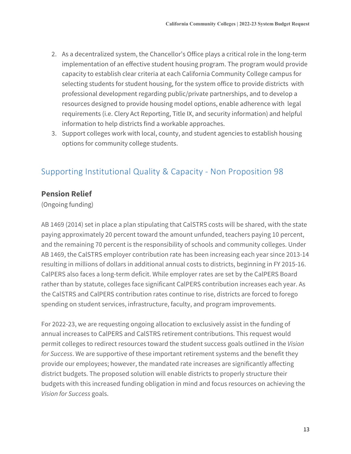- 2. As a decentralized system, the Chancellor's Office plays a critical role in the long-term implementation of an effective student housing program. The program would provide capacity to establish clear criteria at each California Community College campus for selecting students for student housing, for the system office to provide districts with professional development regarding public/private partnerships, and to develop a resources designed to provide housing model options, enable adherence with legal requirements (i.e. Clery Act Reporting, Title IX, and security information) and helpful information to help districts find a workable approaches.
- 3. Support colleges work with local, county, and student agencies to establish housing options for community college students.

### Supporting Institutional Quality & Capacity - Non Proposition 98

#### **Pension Relief**

(Ongoing funding)

AB 1469 (2014) set in place a plan stipulating that CalSTRS costs will be shared, with the state paying approximately 20 percent toward the amount unfunded, teachers paying 10 percent, and the remaining 70 percent is the responsibility of schools and community colleges. Under AB 1469, the CalSTRS employer contribution rate has been increasing each year since 2013-14 resulting in millions of dollars in additional annual costs to districts, beginning in FY 2015-16. CalPERS also faces a long-term deficit. While employer rates are set by the CalPERS Board rather than by statute, colleges face significant CalPERS contribution increases each year. As the CalSTRS and CalPERS contribution rates continue to rise, districts are forced to forego spending on student services, infrastructure, faculty, and program improvements.

For 2022-23, we are requesting ongoing allocation to exclusively assist in the funding of annual increases to CalPERS and CalSTRS retirement contributions. This request would permit colleges to redirect resources toward the student success goals outlined in the *Vision for Success*. We are supportive of these important retirement systems and the benefit they provide our employees; however, the mandated rate increases are significantly affecting district budgets. The proposed solution will enable districts to properly structure their budgets with this increased funding obligation in mind and focus resources on achieving the *Vision for Success* goals.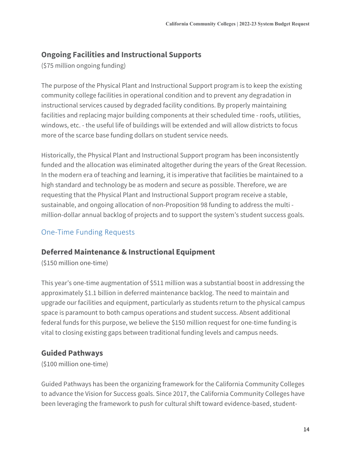#### **Ongoing Facilities and Instructional Supports**

(\$75 million ongoing funding)

The purpose of the Physical Plant and Instructional Support program is to keep the existing community college facilities in operational condition and to prevent any degradation in instructional services caused by degraded facility conditions. By properly maintaining facilities and replacing major building components at their scheduled time - roofs, utilities, windows, etc. - the useful life of buildings will be extended and will allow districts to focus more of the scarce base funding dollars on student service needs.

Historically, the Physical Plant and Instructional Support program has been inconsistently funded and the allocation was eliminated altogether during the years of the Great Recession. In the modern era of teaching and learning, it is imperative that facilities be maintained to a high standard and technology be as modern and secure as possible. Therefore, we are requesting that the Physical Plant and Instructional Support program receive a stable, sustainable, and ongoing allocation of non-Proposition 98 funding to address the multi million-dollar annual backlog of projects and to support the system's student success goals.

#### <span id="page-15-0"></span>One-Time Funding Requests

#### **Deferred Maintenance & Instructional Equipment**

(\$150 million one-time)

This year's one-time augmentation of \$511 million was a substantial boost in addressing the approximately \$1.1 billion in deferred maintenance backlog. The need to maintain and upgrade our facilities and equipment, particularly as students return to the physical campus space is paramount to both campus operations and student success. Absent additional federal funds for this purpose, we believe the \$150 million request for one-time funding is vital to closing existing gaps between traditional funding levels and campus needs.

#### **Guided Pathways**

(\$100 million one-time)

Guided Pathways has been the organizing framework for the California Community Colleges to advance the Vision for Success goals. Since 2017, the California Community Colleges have been leveraging the framework to push for cultural shift toward evidence-based, student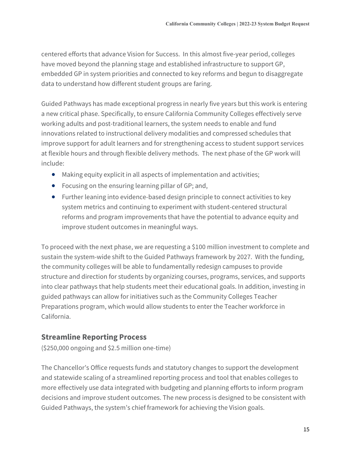centered efforts that advance Vision for Success. In this almost five-year period, colleges have moved beyond the planning stage and established infrastructure to support GP, embedded GP in system priorities and connected to key reforms and begun to disaggregate data to understand how different student groups are faring.

Guided Pathways has made exceptional progress in nearly five years but this work is entering a new critical phase. Specifically, to ensure California Community Colleges effectively serve working adults and post-traditional learners, the system needs to enable and fund innovations related to instructional delivery modalities and compressed schedules that improve support for adult learners and for strengthening access to student support services at flexible hours and through flexible delivery methods. The next phase of the GP work will include:

- Making equity explicit in all aspects of implementation and activities;
- Focusing on the ensuring learning pillar of GP; and,
- Further leaning into evidence-based design principle to connect activities to key system metrics and continuing to experiment with student-centered structural reforms and program improvements that have the potential to advance equity and improve student outcomes in meaningful ways.

To proceed with the next phase, we are requesting a \$100 million investment to complete and sustain the system-wide shift to the Guided Pathways framework by 2027. With the funding, the community colleges will be able to fundamentally redesign campuses to provide structure and direction for students by organizing courses, programs, services, and supports into clear pathways that help students meet their educational goals. In addition, investing in guided pathways can allow for initiatives such as the Community Colleges Teacher Preparations program, which would allow students to enter the Teacher workforce in California.

#### **Streamline Reporting Process**

(\$250,000 ongoing and \$2.5 million one-time)

The Chancellor's Office requests funds and statutory changes to support the development and statewide scaling of a streamlined reporting process and tool that enables colleges to more effectively use data integrated with budgeting and planning efforts to inform program decisions and improve student outcomes. The new process is designed to be consistent with Guided Pathways, the system's chief framework for achieving the Vision goals.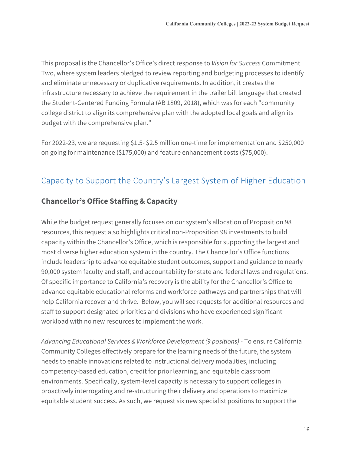This proposal is the Chancellor's Office's direct response to *Vision for Success* Commitment Two, where system leaders pledged to review reporting and budgeting processes to identify and eliminate unnecessary or duplicative requirements. In addition, it creates the infrastructure necessary to achieve the requirement in the trailer bill language that created the Student-Centered Funding Formula (AB 1809, 2018), which was for each "community college district to align its comprehensive plan with the adopted local goals and align its budget with the comprehensive plan."

For 2022-23, we are requesting \$1.5- \$2.5 million one-time for implementation and \$250,000 on going for maintenance (\$175,000) and feature enhancement costs (\$75,000).

# <span id="page-17-0"></span>Capacity to Support the Country's Largest System of Higher Education

#### **Chancellor's Office Staffing & Capacity**

While the budget request generally focuses on our system's allocation of Proposition 98 resources, this request also highlights critical non-Proposition 98 investments to build capacity within the Chancellor's Office, which is responsible for supporting the largest and most diverse higher education system in the country. The Chancellor's Office functions include leadership to advance equitable student outcomes, support and guidance to nearly 90,000 system faculty and staff, and accountability for state and federal laws and regulations. Of specific importance to California's recovery is the ability for the Chancellor's Office to advance equitable educational reforms and workforce pathways and partnerships that will help California recover and thrive. Below, you will see requests for additional resources and staff to support designated priorities and divisions who have experienced significant workload with no new resources to implement the work.

*Advancing Educational Services & Workforce Development (9 positions)* - To ensure California Community Colleges effectively prepare for the learning needs of the future, the system needs to enable innovations related to instructional delivery modalities, including competency-based education, credit for prior learning, and equitable classroom environments. Specifically, system-level capacity is necessary to support colleges in proactively interrogating and re-structuring their delivery and operations to maximize equitable student success. As such, we request six new specialist positions to support the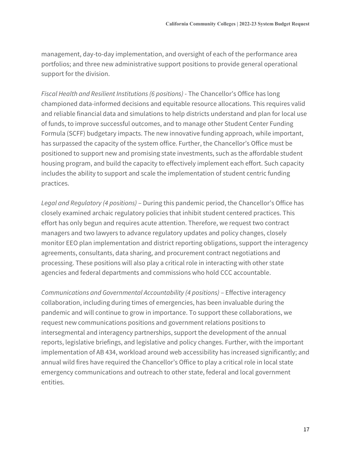management, day-to-day implementation, and oversight of each of the performance area portfolios; and three new administrative support positions to provide general operational support for the division.

*Fiscal Health and Resilient Institutions (6 positions)* - The Chancellor's Office has long championed data-informed decisions and equitable resource allocations. This requires valid and reliable financial data and simulations to help districts understand and plan for local use of funds, to improve successful outcomes, and to manage other Student Center Funding Formula (SCFF) budgetary impacts. The new innovative funding approach, while important, has surpassed the capacity of the system office. Further, the Chancellor's Office must be positioned to support new and promising state investments, such as the affordable student housing program, and build the capacity to effectively implement each effort. Such capacity includes the ability to support and scale the implementation of student centric funding practices.

*Legal and Regulatory (4 positions)* – During this pandemic period, the Chancellor's Office has closely examined archaic regulatory policies that inhibit student centered practices. This effort has only begun and requires acute attention. Therefore, we request two contract managers and two lawyers to advance regulatory updates and policy changes, closely monitor EEO plan implementation and district reporting obligations, support the interagency agreements, consultants, data sharing, and procurement contract negotiations and processing. These positions will also play a critical role in interacting with other state agencies and federal departments and commissions who hold CCC accountable.

*Communications and Governmental Accountability (4 positions)* – Effective interagency collaboration, including during times of emergencies, has been invaluable during the pandemic and will continue to grow in importance. To support these collaborations, we request new communications positions and government relations positions to intersegmental and interagency partnerships, support the development of the annual reports, legislative briefings, and legislative and policy changes. Further, with the important implementation of AB 434, workload around web accessibility has increased significantly; and annual wild fires have required the Chancellor's Office to play a critical role in local state emergency communications and outreach to other state, federal and local government entities.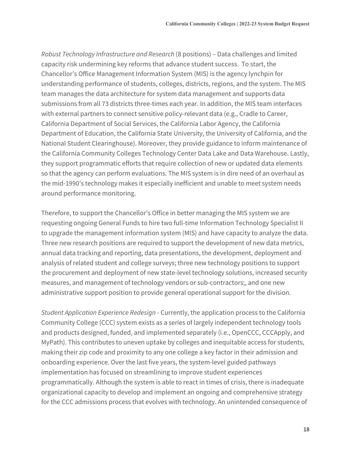*Robust Technology Infrastructure and Research* (8 positions) – Data challenges and limited capacity risk undermining key reforms that advance student success. To start, the Chancellor's Office Management Information System (MIS) is the agency lynchpin for understanding performance of students, colleges, districts, regions, and the system. The MIS team manages the data architecture for system data management and supports data submissions from all 73 districts three-times each year. In addition, the MIS team interfaces with external partners to connect sensitive policy-relevant data (e.g., Cradle to Career, California Department of Social Services, the California Labor Agency, the California Department of Education, the California State University, the University of California, and the National Student Clearinghouse). Moreover, they provide guidance to inform maintenance of the California Community Colleges Technology Center Data Lake and Data Warehouse. Lastly, they support programmatic efforts that require collection of new or updated data elements so that the agency can perform evaluations. The MIS system is in dire need of an overhaul as the mid-1990's technology makes it especially inefficient and unable to meet system needs around performance monitoring.

Therefore, to support the Chancellor's Office in better managing the MIS system we are requesting ongoing General Funds to hire two full-time Information Technology Specialist II to upgrade the management information system (MIS) and have capacity to analyze the data. Three new research positions are required to support the development of new data metrics, annual data tracking and reporting, data presentations, the development, deployment and analysis of related student and college surveys; three new technology positions to support the procurement and deployment of new state-level technology solutions, increased security measures, and management of technology vendors or sub-contractors;, and one new administrative support position to provide general operational support for the division.

*Student Application Experience Redesign* - Currently, the application process to the California Community College (CCC) system exists as a series of largely independent technology tools and products designed, funded, and implemented separately (i.e., OpenCCC, CCCApply, and MyPath). This contributes to uneven uptake by colleges and inequitable access for students, making their zip code and proximity to any one college a key factor in their admission and onboarding experience. Over the last five years, the system-level guided pathways implementation has focused on streamlining to improve student experiences programmatically. Although the system is able to react in times of crisis, there is inadequate organizational capacity to develop and implement an ongoing and comprehensive strategy for the CCC admissions process that evolves with technology. An unintended consequence of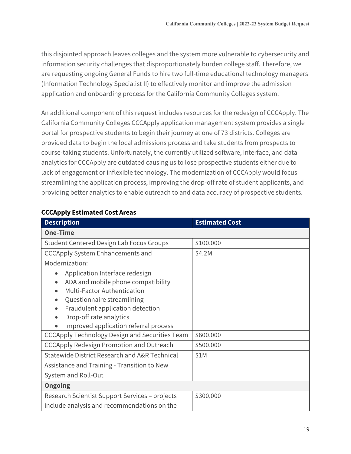this disjointed approach leaves colleges and the system more vulnerable to cybersecurity and information security challenges that disproportionately burden college staff. Therefore, we are requesting ongoing General Funds to hire two full-time educational technology managers (Information Technology Specialist II) to effectively monitor and improve the admission application and onboarding process for the California Community Colleges system.

An additional component of this request includes resources for the redesign of CCCApply. The California Community Colleges CCCApply application management system provides a single portal for prospective students to begin their journey at one of 73 districts. Colleges are provided data to begin the local admissions process and take students from prospects to course-taking students. Unfortunately, the currently utilized software, interface, and data analytics for CCCApply are outdated causing us to lose prospective students either due to lack of engagement or inflexible technology. The modernization of CCCApply would focus streamlining the application process, improving the drop-off rate of student applicants, and providing better analytics to enable outreach to and data accuracy of prospective students.

| <b>Description</b>                                                                                                                                                                                                                                     | <b>Estimated Cost</b> |  |
|--------------------------------------------------------------------------------------------------------------------------------------------------------------------------------------------------------------------------------------------------------|-----------------------|--|
| <b>One-Time</b>                                                                                                                                                                                                                                        |                       |  |
| <b>Student Centered Design Lab Focus Groups</b>                                                                                                                                                                                                        | \$100,000             |  |
| <b>CCCApply System Enhancements and</b>                                                                                                                                                                                                                | \$4.2M                |  |
| Modernization:                                                                                                                                                                                                                                         |                       |  |
| Application Interface redesign<br>$\bullet$<br>ADA and mobile phone compatibility<br>Multi-Factor Authentication<br>Questionnaire streamlining<br>Fraudulent application detection<br>Drop-off rate analytics<br>Improved application referral process |                       |  |
| <b>CCCApply Technology Design and Securities Team</b>                                                                                                                                                                                                  | \$600,000             |  |
| <b>CCCApply Redesign Promotion and Outreach</b>                                                                                                                                                                                                        | \$500,000             |  |
| <b>Statewide District Research and A&amp;R Technical</b>                                                                                                                                                                                               | \$1M                  |  |
| Assistance and Training - Transition to New                                                                                                                                                                                                            |                       |  |
| System and Roll-Out                                                                                                                                                                                                                                    |                       |  |
| <b>Ongoing</b>                                                                                                                                                                                                                                         |                       |  |
| Research Scientist Support Services - projects                                                                                                                                                                                                         | \$300,000             |  |
| include analysis and recommendations on the                                                                                                                                                                                                            |                       |  |

#### **CCCApply Estimated Cost Areas**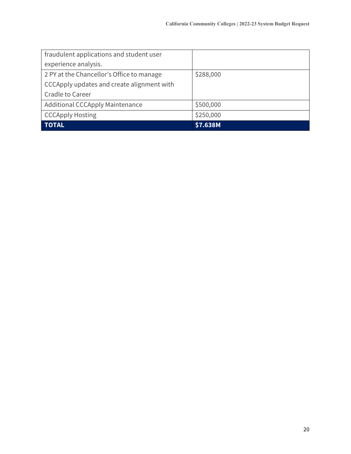| fraudulent applications and student user   |           |
|--------------------------------------------|-----------|
| experience analysis.                       |           |
| 2 PY at the Chancellor's Office to manage  | \$288,000 |
| CCCApply updates and create alignment with |           |
| <b>Cradle to Career</b>                    |           |
| <b>Additional CCCApply Maintenance</b>     | \$500,000 |
| <b>CCCApply Hosting</b>                    | \$250,000 |
| <b>TOTAL</b>                               | \$7.638M  |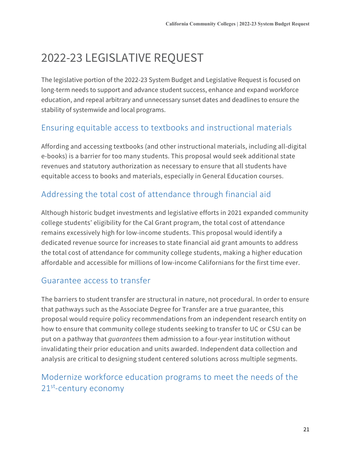# <span id="page-22-0"></span>2022-23 LEGISLATIVE REQUEST

The legislative portion of the 2022-23 System Budget and Legislative Request is focused on long-term needs to support and advance student success, enhance and expand workforce education, and repeal arbitrary and unnecessary sunset dates and deadlines to ensure the stability of systemwide and local programs.

### <span id="page-22-1"></span>Ensuring equitable access to textbooks and instructional materials

Affording and accessing textbooks (and other instructional materials, including all-digital e-books) is a barrier for too many students. This proposal would seek additional state revenues and statutory authorization as necessary to ensure that all students have equitable access to books and materials, especially in General Education courses.

# <span id="page-22-2"></span>Addressing the total cost of attendance through financial aid

Although historic budget investments and legislative efforts in 2021 expanded community college students' eligibility for the Cal Grant program, the total cost of attendance remains excessively high for low-income students. This proposal would identify a dedicated revenue source for increases to state financial aid grant amounts to address the total cost of attendance for community college students, making a higher education affordable and accessible for millions of low-income Californians for the first time ever.

#### <span id="page-22-3"></span>Guarantee access to transfer

The barriers to student transfer are structural in nature, not procedural. In order to ensure that pathways such as the Associate Degree for Transfer are a true guarantee, this proposal would require policy recommendations from an independent research entity on how to ensure that community college students seeking to transfer to UC or CSU can be put on a pathway that *guarantees* them admission to a four-year institution without invalidating their prior education and units awarded. Independent data collection and analysis are critical to designing student centered solutions across multiple segments.

## <span id="page-22-4"></span>Modernize workforce education programs to meet the needs of the 21<sup>st</sup>-century economy